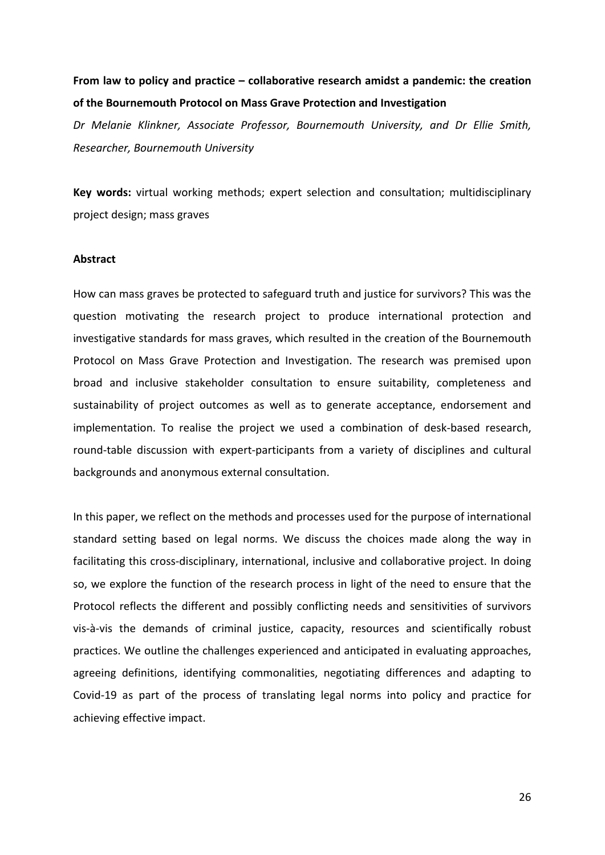# **From law to policy and practice – collaborative research amidst a pandemic: the creation of the Bournemouth Protocol on Mass Grave Protection and Investigation**

*Dr Melanie Klinkner, Associate Professor, Bournemouth University, and Dr Ellie Smith, Researcher, Bournemouth University*

**Key words:** virtual working methods; expert selection and consultation; multidisciplinary project design; mass graves

#### **Abstract**

How can mass graves be protected to safeguard truth and justice for survivors? This was the question motivating the research project to produce international protection and investigative standards for mass graves, which resulted in the creation of the Bournemouth Protocol on Mass Grave Protection and Investigation. The research was premised upon broad and inclusive stakeholder consultation to ensure suitability, completeness and sustainability of project outcomes as well as to generate acceptance, endorsement and implementation. To realise the project we used a combination of desk-based research, round-table discussion with expert-participants from a variety of disciplines and cultural backgrounds and anonymous external consultation.

In this paper, we reflect on the methods and processes used for the purpose of international standard setting based on legal norms. We discuss the choices made along the way in facilitating this cross-disciplinary, international, inclusive and collaborative project. In doing so, we explore the function of the research process in light of the need to ensure that the Protocol reflects the different and possibly conflicting needs and sensitivities of survivors vis-à-vis the demands of criminal justice, capacity, resources and scientifically robust practices. We outline the challenges experienced and anticipated in evaluating approaches, agreeing definitions, identifying commonalities, negotiating differences and adapting to Covid-19 as part of the process of translating legal norms into policy and practice for achieving effective impact.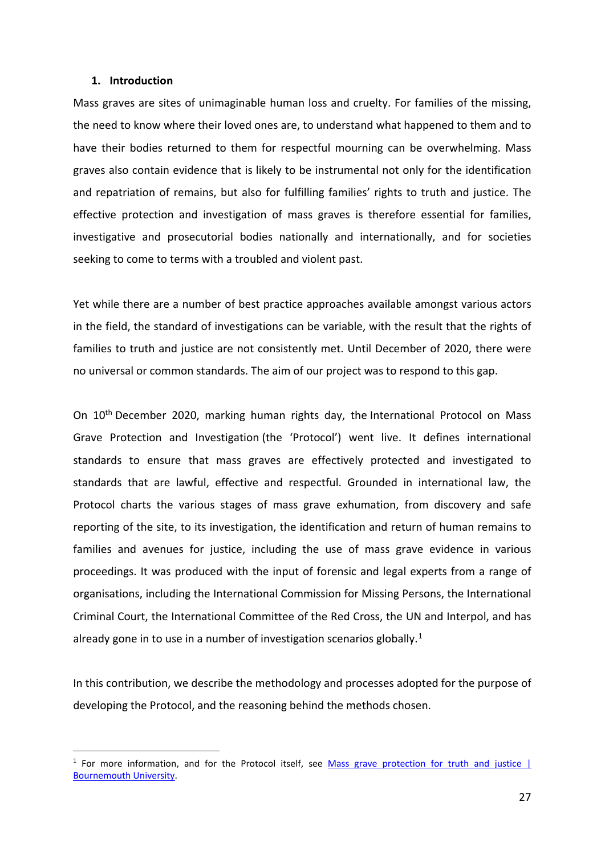#### **1. Introduction**

Mass graves are sites of unimaginable human loss and cruelty. For families of the missing, the need to know where their loved ones are, to understand what happened to them and to have their bodies returned to them for respectful mourning can be overwhelming. Mass graves also contain evidence that is likely to be instrumental not only for the identification and repatriation of remains, but also for fulfilling families' rights to truth and justice. The effective protection and investigation of mass graves is therefore essential for families, investigative and prosecutorial bodies nationally and internationally, and for societies seeking to come to terms with a troubled and violent past.

Yet while there are a number of best practice approaches available amongst various actors in the field, the standard of investigations can be variable, with the result that the rights of families to truth and justice are not consistently met. Until December of 2020, there were no universal or common standards. The aim of our project was to respond to this gap.

On 10<sup>th</sup> December 2020, marking human rights day, the International Protocol on Mass Grave Protection and Investigation (the 'Protocol') went live. It defines international standards to ensure that mass graves are effectively protected and investigated to standards that are lawful, effective and respectful. Grounded in international law, the Protocol charts the various stages of mass grave exhumation, from discovery and safe reporting of the site, to its investigation, the identification and return of human remains to families and avenues for justice, including the use of mass grave evidence in various proceedings. It was produced with the input of forensic and legal experts from a range of organisations, including the International Commission for Missing Persons, the International Criminal Court, the International Committee of the Red Cross, the UN and Interpol, and has already gone in to use in a number of investigation scenarios globally.<sup>[1](#page-1-0)</sup>

In this contribution, we describe the methodology and processes adopted for the purpose of developing the Protocol, and the reasoning behind the methods chosen.

<span id="page-1-0"></span> $1$  For more information, and for the Protocol itself, see Mass grave protection for truth and justice  $|$ [Bournemouth University.](https://www.bournemouth.ac.uk/research/projects/mass-grave-protection-truth-justice)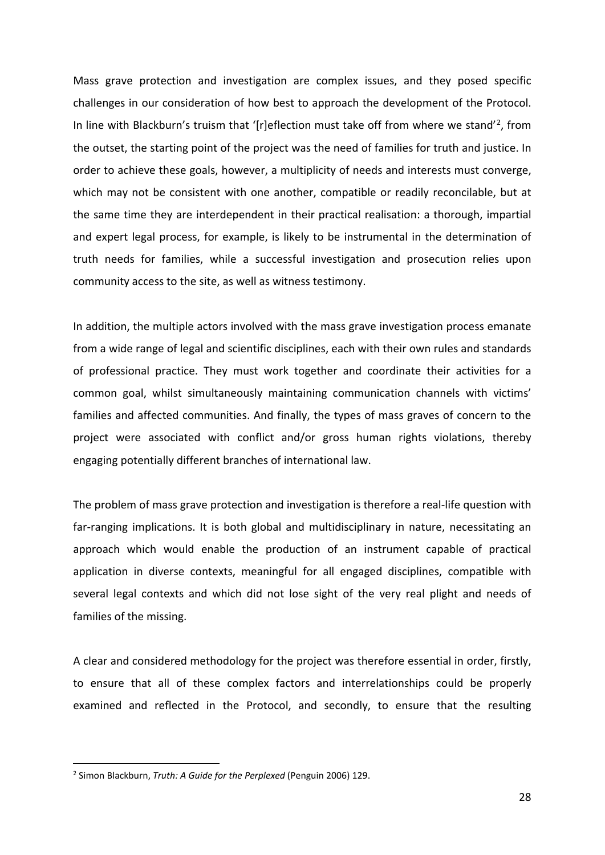Mass grave protection and investigation are complex issues, and they posed specific challenges in our consideration of how best to approach the development of the Protocol. In line with Blackburn's truism that '[r]eflection must take off from where we stand'[2,](#page-2-0) from the outset, the starting point of the project was the need of families for truth and justice. In order to achieve these goals, however, a multiplicity of needs and interests must converge, which may not be consistent with one another, compatible or readily reconcilable, but at the same time they are interdependent in their practical realisation: a thorough, impartial and expert legal process, for example, is likely to be instrumental in the determination of truth needs for families, while a successful investigation and prosecution relies upon community access to the site, as well as witness testimony.

In addition, the multiple actors involved with the mass grave investigation process emanate from a wide range of legal and scientific disciplines, each with their own rules and standards of professional practice. They must work together and coordinate their activities for a common goal, whilst simultaneously maintaining communication channels with victims' families and affected communities. And finally, the types of mass graves of concern to the project were associated with conflict and/or gross human rights violations, thereby engaging potentially different branches of international law.

The problem of mass grave protection and investigation is therefore a real-life question with far-ranging implications. It is both global and multidisciplinary in nature, necessitating an approach which would enable the production of an instrument capable of practical application in diverse contexts, meaningful for all engaged disciplines, compatible with several legal contexts and which did not lose sight of the very real plight and needs of families of the missing.

A clear and considered methodology for the project was therefore essential in order, firstly, to ensure that all of these complex factors and interrelationships could be properly examined and reflected in the Protocol, and secondly, to ensure that the resulting

<span id="page-2-0"></span><sup>2</sup> Simon Blackburn, *Truth: A Guide for the Perplexed* (Penguin 2006) 129.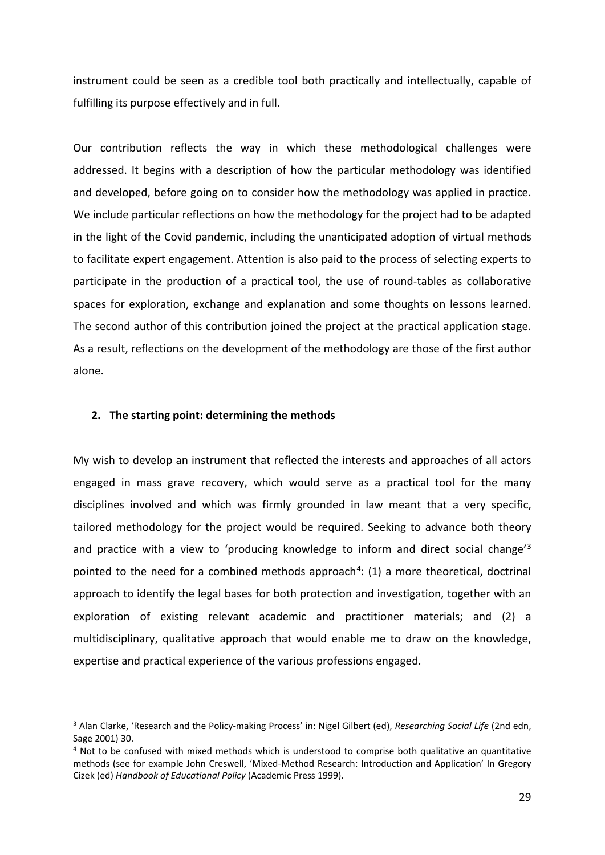instrument could be seen as a credible tool both practically and intellectually, capable of fulfilling its purpose effectively and in full.

Our contribution reflects the way in which these methodological challenges were addressed. It begins with a description of how the particular methodology was identified and developed, before going on to consider how the methodology was applied in practice. We include particular reflections on how the methodology for the project had to be adapted in the light of the Covid pandemic, including the unanticipated adoption of virtual methods to facilitate expert engagement. Attention is also paid to the process of selecting experts to participate in the production of a practical tool, the use of round-tables as collaborative spaces for exploration, exchange and explanation and some thoughts on lessons learned. The second author of this contribution joined the project at the practical application stage. As a result, reflections on the development of the methodology are those of the first author alone.

# **2. The starting point: determining the methods**

My wish to develop an instrument that reflected the interests and approaches of all actors engaged in mass grave recovery, which would serve as a practical tool for the many disciplines involved and which was firmly grounded in law meant that a very specific, tailored methodology for the project would be required. Seeking to advance both theory and practice with a view to 'producing knowledge to inform and direct social change'[3](#page-3-0) pointed to the need for a combined methods approach<sup>[4](#page-3-1)</sup>: (1) a more theoretical, doctrinal approach to identify the legal bases for both protection and investigation, together with an exploration of existing relevant academic and practitioner materials; and (2) a multidisciplinary, qualitative approach that would enable me to draw on the knowledge, expertise and practical experience of the various professions engaged.

<span id="page-3-0"></span><sup>3</sup> Alan Clarke, 'Research and the Policy-making Process' in: Nigel Gilbert (ed), *Researching Social Life* (2nd edn, Sage 2001) 30.

<span id="page-3-1"></span><sup>4</sup> Not to be confused with mixed methods which is understood to comprise both qualitative an quantitative methods (see for example John Creswell, 'Mixed-Method Research: Introduction and Application' In Gregory Cizek (ed) *Handbook of Educational Policy* (Academic Press 1999).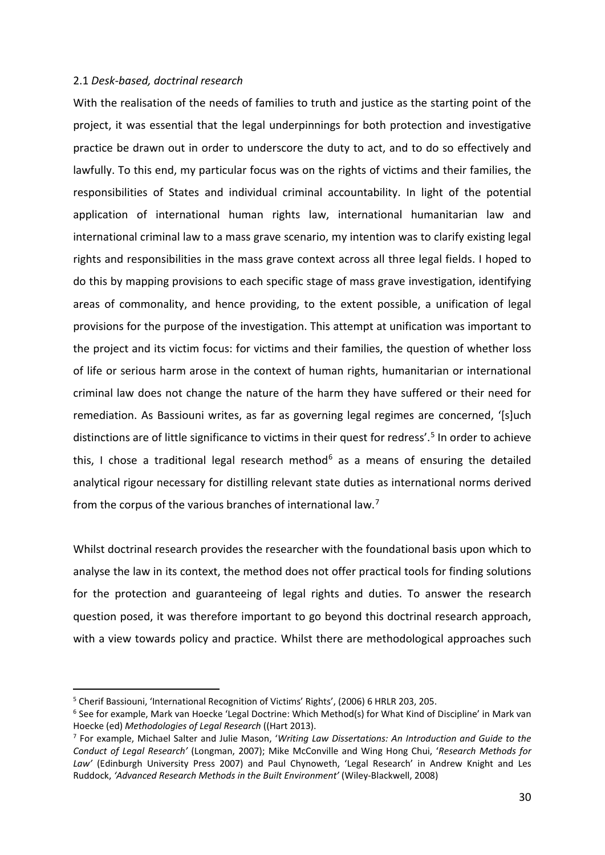# 2.1 *Desk-based, doctrinal research*

With the realisation of the needs of families to truth and justice as the starting point of the project, it was essential that the legal underpinnings for both protection and investigative practice be drawn out in order to underscore the duty to act, and to do so effectively and lawfully. To this end, my particular focus was on the rights of victims and their families, the responsibilities of States and individual criminal accountability. In light of the potential application of international human rights law, international humanitarian law and international criminal law to a mass grave scenario, my intention was to clarify existing legal rights and responsibilities in the mass grave context across all three legal fields. I hoped to do this by mapping provisions to each specific stage of mass grave investigation, identifying areas of commonality, and hence providing, to the extent possible, a unification of legal provisions for the purpose of the investigation. This attempt at unification was important to the project and its victim focus: for victims and their families, the question of whether loss of life or serious harm arose in the context of human rights, humanitarian or international criminal law does not change the nature of the harm they have suffered or their need for remediation. As Bassiouni writes, as far as governing legal regimes are concerned, '[s]uch distinctions are of little significance to victims in their quest for redress'. [5](#page-4-0) In order to achieve this, I chose a traditional legal research method<sup>[6](#page-4-1)</sup> as a means of ensuring the detailed analytical rigour necessary for distilling relevant state duties as international norms derived from the corpus of the various branches of international law.<sup>[7](#page-4-2)</sup>

Whilst doctrinal research provides the researcher with the foundational basis upon which to analyse the law in its context, the method does not offer practical tools for finding solutions for the protection and guaranteeing of legal rights and duties. To answer the research question posed, it was therefore important to go beyond this doctrinal research approach, with a view towards policy and practice. Whilst there are methodological approaches such

<span id="page-4-0"></span><sup>5</sup> Cherif Bassiouni, 'International Recognition of Victims' Rights', (2006) 6 HRLR 203, 205.

<span id="page-4-1"></span><sup>6</sup> See for example, Mark van Hoecke 'Legal Doctrine: Which Method(s) for What Kind of Discipline' in Mark van Hoecke (ed) *Methodologies of Legal Research* ((Hart 2013).<br><sup>7</sup> For example, Michael Salter and Julie Mason, 'Writing Law Dissertations: An Introduction and Guide to the

<span id="page-4-2"></span>*Conduct of Legal Research'* (Longman, 2007); Mike McConville and Wing Hong Chui, '*Research Methods for Law'* (Edinburgh University Press 2007) and Paul Chynoweth, 'Legal Research' in Andrew Knight and Les Ruddock, *'Advanced Research Methods in the Built Environment'* (Wiley-Blackwell, 2008)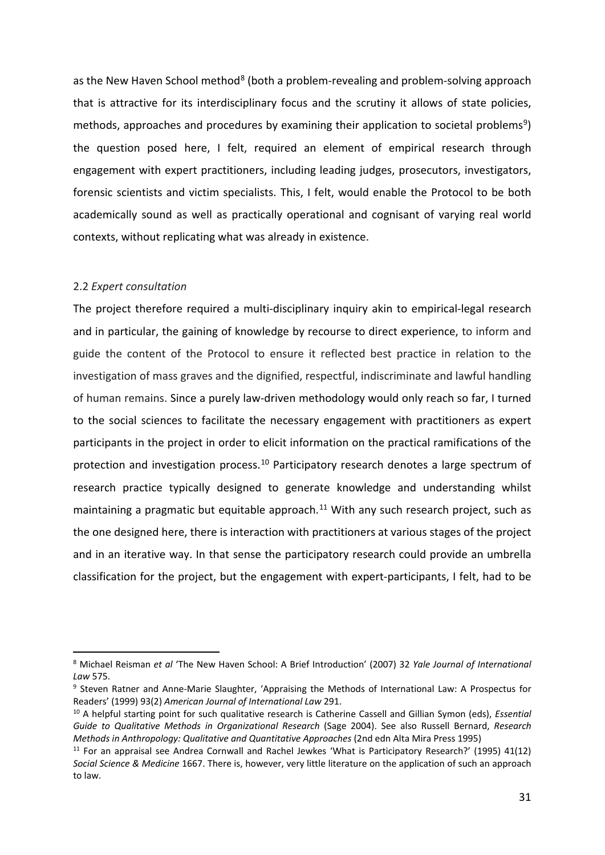as the New Haven School method<sup>[8](#page-5-0)</sup> (both a problem-revealing and problem-solving approach that is attractive for its interdisciplinary focus and the scrutiny it allows of state policies, methods, approaches and procedures by examining their application to societal problems<sup>[9](#page-5-1)</sup>) the question posed here, I felt, required an element of empirical research through engagement with expert practitioners, including leading judges, prosecutors, investigators, forensic scientists and victim specialists. This, I felt, would enable the Protocol to be both academically sound as well as practically operational and cognisant of varying real world contexts, without replicating what was already in existence.

# 2.2 *Expert consultation*

The project therefore required a multi-disciplinary inquiry akin to empirical-legal research and in particular, the gaining of knowledge by recourse to direct experience, to inform and guide the content of the Protocol to ensure it reflected best practice in relation to the investigation of mass graves and the dignified, respectful, indiscriminate and lawful handling of human remains. Since a purely law-driven methodology would only reach so far, I turned to the social sciences to facilitate the necessary engagement with practitioners as expert participants in the project in order to elicit information on the practical ramifications of the protection and investigation process.<sup>[10](#page-5-2)</sup> Participatory research denotes a large spectrum of research practice typically designed to generate knowledge and understanding whilst maintaining a pragmatic but equitable approach.<sup>[11](#page-5-3)</sup> With any such research project, such as the one designed here, there is interaction with practitioners at various stages of the project and in an iterative way. In that sense the participatory research could provide an umbrella classification for the project, but the engagement with expert-participants, I felt, had to be

<span id="page-5-0"></span><sup>8</sup> Michael Reisman *et al* 'The New Haven School: A Brief Introduction' (2007) 32 *Yale Journal of International Law* 575.

<span id="page-5-1"></span><sup>9</sup> Steven Ratner and Anne-Marie Slaughter, 'Appraising the Methods of International Law: A Prospectus for Readers' (1999) 93(2) *American Journal of International Law* 291.

<span id="page-5-2"></span><sup>10</sup> A helpful starting point for such qualitative research is Catherine Cassell and Gillian Symon (eds), *Essential Guide to Qualitative Methods in Organizational Research* (Sage 2004). See also Russell Bernard, *Research Methods in Anthropology: Qualitative and Quantitative Approaches* (2nd edn Alta Mira Press 1995)

<span id="page-5-3"></span><sup>11</sup> For an appraisal see Andrea Cornwall and Rachel Jewkes 'What is Participatory Research?' (1995) 41(12) *Social Science & Medicine* 1667. There is, however, very little literature on the application of such an approach to law.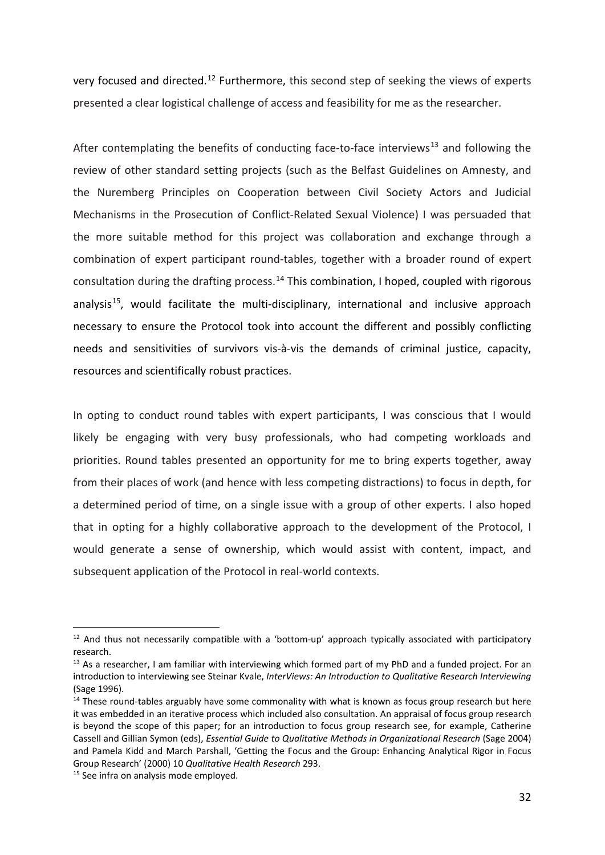very focused and directed.<sup>[12](#page-6-0)</sup> Furthermore, this second step of seeking the views of experts presented a clear logistical challenge of access and feasibility for me as the researcher.

After contemplating the benefits of conducting face-to-face interviews<sup>[13](#page-6-1)</sup> and following the review of other standard setting projects (such as the Belfast Guidelines on Amnesty, and the Nuremberg Principles on Cooperation between Civil Society Actors and Judicial Mechanisms in the Prosecution of Conflict-Related Sexual Violence) I was persuaded that the more suitable method for this project was collaboration and exchange through a combination of expert participant round-tables, together with a broader round of expert consultation during the drafting process.<sup>[14](#page-6-2)</sup> This combination, I hoped, coupled with rigorous analysis<sup>15</sup>, would facilitate the multi-disciplinary, international and inclusive approach necessary to ensure the Protocol took into account the different and possibly conflicting needs and sensitivities of survivors vis-à-vis the demands of criminal justice, capacity, resources and scientifically robust practices.

In opting to conduct round tables with expert participants, I was conscious that I would likely be engaging with very busy professionals, who had competing workloads and priorities. Round tables presented an opportunity for me to bring experts together, away from their places of work (and hence with less competing distractions) to focus in depth, for a determined period of time, on a single issue with a group of other experts. I also hoped that in opting for a highly collaborative approach to the development of the Protocol, I would generate a sense of ownership, which would assist with content, impact, and subsequent application of the Protocol in real-world contexts.

<span id="page-6-0"></span> $12$  And thus not necessarily compatible with a 'bottom-up' approach typically associated with participatory research.

<span id="page-6-1"></span> $13$  As a researcher, I am familiar with interviewing which formed part of my PhD and a funded project. For an introduction to interviewing see Steinar Kvale, *InterViews: An Introduction to Qualitative Research Interviewing* (Sage 1996).

<span id="page-6-2"></span><sup>&</sup>lt;sup>14</sup> These round-tables arguably have some commonality with what is known as focus group research but here it was embedded in an iterative process which included also consultation. An appraisal of focus group research is beyond the scope of this paper; for an introduction to focus group research see, for example, Catherine Cassell and Gillian Symon (eds), *Essential Guide to Qualitative Methods in Organizational Research* (Sage 2004) and Pamela Kidd and March Parshall, 'Getting the Focus and the Group: Enhancing Analytical Rigor in Focus Group Research' (2000) 10 *Qualitative Health Research* 293.

<span id="page-6-3"></span><sup>&</sup>lt;sup>15</sup> See infra on analysis mode employed.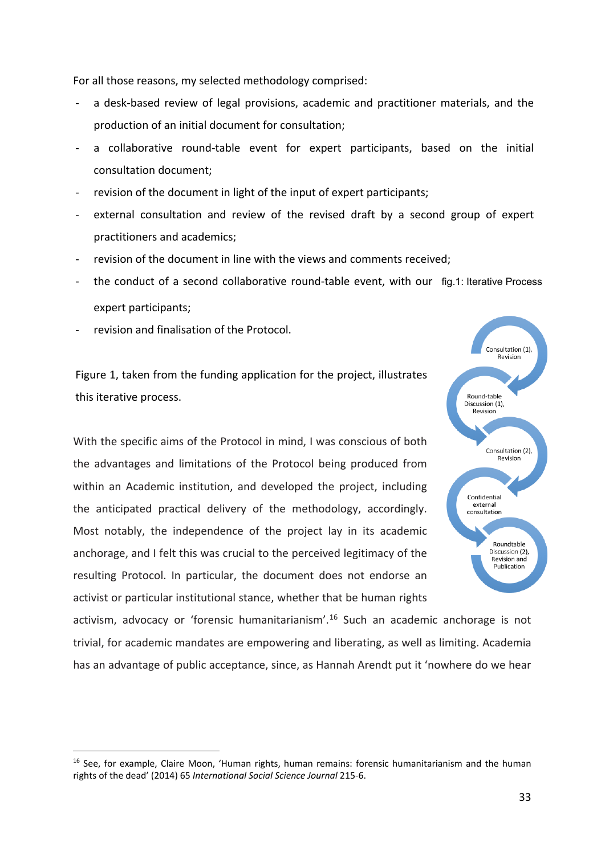For all those reasons, my selected methodology comprised:

- a desk-based review of legal provisions, academic and practitioner materials, and the production of an initial document for consultation;
- a collaborative round-table event for expert participants, based on the initial consultation document;
- revision of the document in light of the input of expert participants;
- external consultation and review of the revised draft by a second group of expert practitioners and academics;
- revision of the document in line with the views and comments received;
- the conduct of a second collaborative round-table event, with our fig.1: Iterative Process expert participants;
- revision and finalisation of the Protocol.

Figure 1, taken from the funding application for the project, illustrates this iterative process.

With the specific aims of the Protocol in mind, I was conscious of both the advantages and limitations of the Protocol being produced from within an Academic institution, and developed the project, including the anticipated practical delivery of the methodology, accordingly. Most notably, the independence of the project lay in its academic anchorage, and I felt this was crucial to the perceived legitimacy of the resulting Protocol. In particular, the document does not endorse an activist or particular institutional stance, whether that be human rights



activism, advocacy or 'forensic humanitarianism'. [16](#page-7-0) Such an academic anchorage is not trivial, for academic mandates are empowering and liberating, as well as limiting. Academia has an advantage of public acceptance, since, as Hannah Arendt put it 'nowhere do we hear

<span id="page-7-0"></span><sup>16</sup> See, for example, Claire Moon, 'Human rights, human remains: forensic humanitarianism and the human rights of the dead' (2014) 65 *International Social Science Journal* 215-6.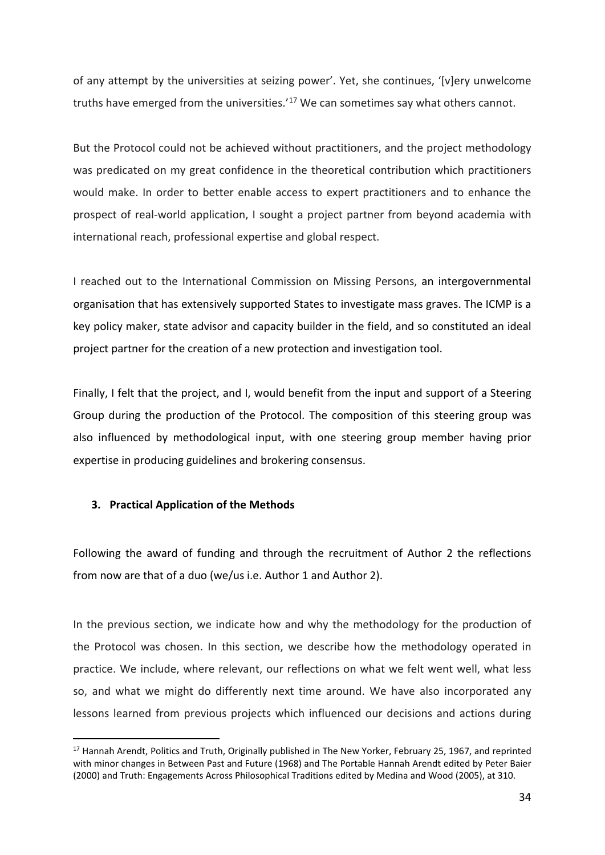of any attempt by the universities at seizing power'. Yet, she continues, '[v]ery unwelcome truths have emerged from the universities.'<sup>[17](#page-8-0)</sup> We can sometimes say what others cannot.

But the Protocol could not be achieved without practitioners, and the project methodology was predicated on my great confidence in the theoretical contribution which practitioners would make. In order to better enable access to expert practitioners and to enhance the prospect of real-world application, I sought a project partner from beyond academia with international reach, professional expertise and global respect.

I reached out to the International Commission on Missing Persons, an intergovernmental organisation that has extensively supported States to investigate mass graves. The ICMP is a key policy maker, state advisor and capacity builder in the field, and so constituted an ideal project partner for the creation of a new protection and investigation tool.

Finally, I felt that the project, and I, would benefit from the input and support of a Steering Group during the production of the Protocol. The composition of this steering group was also influenced by methodological input, with one steering group member having prior expertise in producing guidelines and brokering consensus.

# **3. Practical Application of the Methods**

Following the award of funding and through the recruitment of Author 2 the reflections from now are that of a duo (we/us i.e. Author 1 and Author 2).

In the previous section, we indicate how and why the methodology for the production of the Protocol was chosen. In this section, we describe how the methodology operated in practice. We include, where relevant, our reflections on what we felt went well, what less so, and what we might do differently next time around. We have also incorporated any lessons learned from previous projects which influenced our decisions and actions during

<span id="page-8-0"></span><sup>&</sup>lt;sup>17</sup> Hannah Arendt, Politics and Truth, Originally published in The New Yorker, February 25, 1967, and reprinted with minor changes in Between Past and Future (1968) and The Portable Hannah Arendt edited by Peter Baier (2000) and Truth: Engagements Across Philosophical Traditions edited by Medina and Wood (2005), at 310.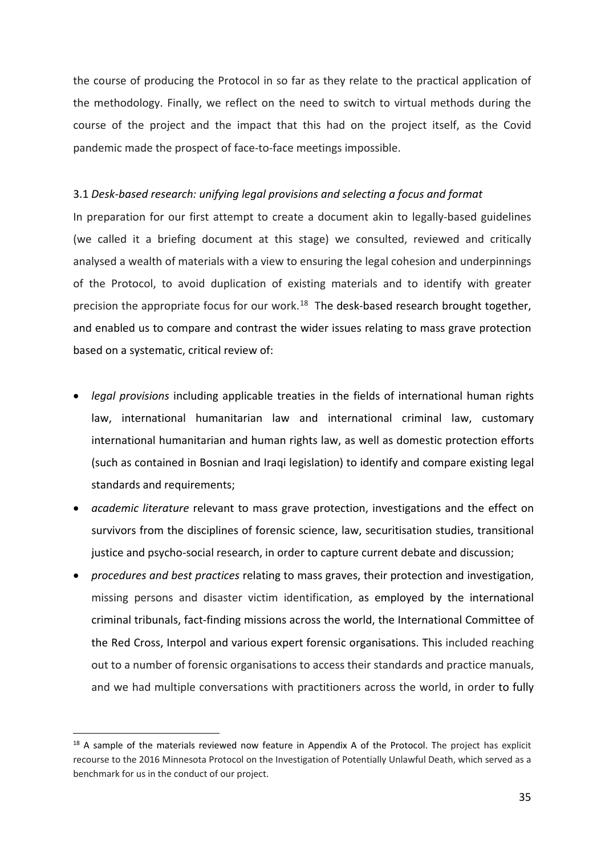the course of producing the Protocol in so far as they relate to the practical application of the methodology. Finally, we reflect on the need to switch to virtual methods during the course of the project and the impact that this had on the project itself, as the Covid pandemic made the prospect of face-to-face meetings impossible.

# 3.1 *Desk-based research: unifying legal provisions and selecting a focus and format*

In preparation for our first attempt to create a document akin to legally-based guidelines (we called it a briefing document at this stage) we consulted, reviewed and critically analysed a wealth of materials with a view to ensuring the legal cohesion and underpinnings of the Protocol, to avoid duplication of existing materials and to identify with greater precision the appropriate focus for our work.<sup>[18](#page-9-0)</sup> The desk-based research brought together, and enabled us to compare and contrast the wider issues relating to mass grave protection based on a systematic, critical review of:

- *legal provisions* including applicable treaties in the fields of international human rights law, international humanitarian law and international criminal law, customary international humanitarian and human rights law, as well as domestic protection efforts (such as contained in Bosnian and Iraqi legislation) to identify and compare existing legal standards and requirements;
- *academic literature* relevant to mass grave protection, investigations and the effect on survivors from the disciplines of forensic science, law, securitisation studies, transitional justice and psycho-social research, in order to capture current debate and discussion;
- *procedures and best practices* relating to mass graves, their protection and investigation, missing persons and disaster victim identification, as employed by the international criminal tribunals, fact-finding missions across the world, the International Committee of the Red Cross, Interpol and various expert forensic organisations. This included reaching out to a number of forensic organisations to access their standards and practice manuals, and we had multiple conversations with practitioners across the world, in order to fully

<span id="page-9-0"></span><sup>&</sup>lt;sup>18</sup> A sample of the materials reviewed now feature in Appendix A of the Protocol. The project has explicit recourse to the 2016 Minnesota Protocol on the Investigation of Potentially Unlawful Death, which served as a benchmark for us in the conduct of our project.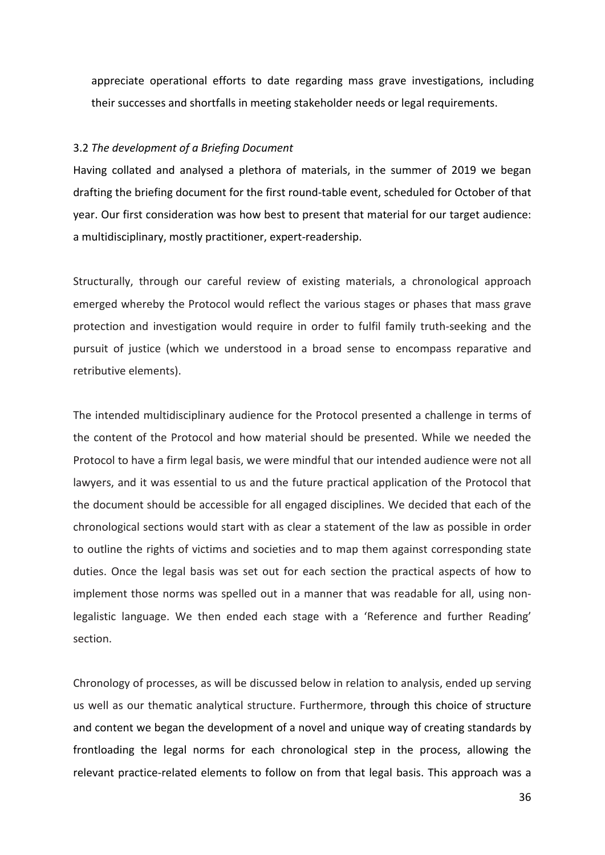appreciate operational efforts to date regarding mass grave investigations, including their successes and shortfalls in meeting stakeholder needs or legal requirements.

#### 3.2 *The development of a Briefing Document*

Having collated and analysed a plethora of materials, in the summer of 2019 we began drafting the briefing document for the first round-table event, scheduled for October of that year. Our first consideration was how best to present that material for our target audience: a multidisciplinary, mostly practitioner, expert-readership.

Structurally, through our careful review of existing materials, a chronological approach emerged whereby the Protocol would reflect the various stages or phases that mass grave protection and investigation would require in order to fulfil family truth-seeking and the pursuit of justice (which we understood in a broad sense to encompass reparative and retributive elements).

The intended multidisciplinary audience for the Protocol presented a challenge in terms of the content of the Protocol and how material should be presented. While we needed the Protocol to have a firm legal basis, we were mindful that our intended audience were not all lawyers, and it was essential to us and the future practical application of the Protocol that the document should be accessible for all engaged disciplines. We decided that each of the chronological sections would start with as clear a statement of the law as possible in order to outline the rights of victims and societies and to map them against corresponding state duties. Once the legal basis was set out for each section the practical aspects of how to implement those norms was spelled out in a manner that was readable for all, using nonlegalistic language. We then ended each stage with a 'Reference and further Reading' section.

Chronology of processes, as will be discussed below in relation to analysis, ended up serving us well as our thematic analytical structure. Furthermore, through this choice of structure and content we began the development of a novel and unique way of creating standards by frontloading the legal norms for each chronological step in the process, allowing the relevant practice-related elements to follow on from that legal basis. This approach was a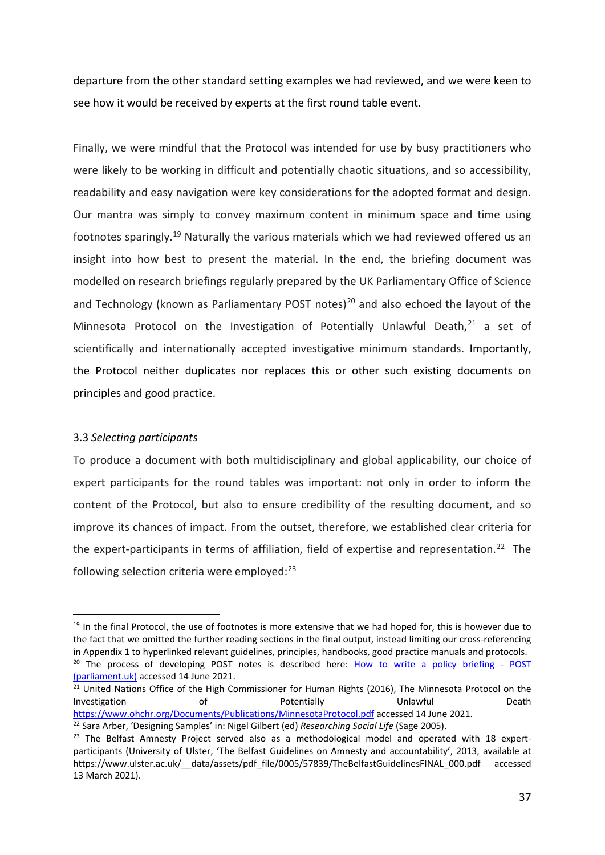departure from the other standard setting examples we had reviewed, and we were keen to see how it would be received by experts at the first round table event.

Finally, we were mindful that the Protocol was intended for use by busy practitioners who were likely to be working in difficult and potentially chaotic situations, and so accessibility, readability and easy navigation were key considerations for the adopted format and design. Our mantra was simply to convey maximum content in minimum space and time using footnotes sparingly.[19](#page-11-0) Naturally the various materials which we had reviewed offered us an insight into how best to present the material. In the end, the briefing document was modelled on research briefings regularly prepared by the UK Parliamentary Office of Science and Technology (known as Parliamentary POST notes)<sup>[20](#page-11-1)</sup> and also echoed the layout of the Minnesota Protocol on the Investigation of Potentially Unlawful Death, $21$  a set of scientifically and internationally accepted investigative minimum standards. Importantly, the Protocol neither duplicates nor replaces this or other such existing documents on principles and good practice.

# 3.3 *Selecting participants*

To produce a document with both multidisciplinary and global applicability, our choice of expert participants for the round tables was important: not only in order to inform the content of the Protocol, but also to ensure credibility of the resulting document, and so improve its chances of impact. From the outset, therefore, we established clear criteria for the expert-participants in terms of affiliation, field of expertise and representation.<sup>[22](#page-11-3)</sup> The following selection criteria were employed:<sup>[23](#page-11-4)</sup>

<span id="page-11-0"></span><sup>&</sup>lt;sup>19</sup> In the final Protocol, the use of footnotes is more extensive that we had hoped for, this is however due to the fact that we omitted the further reading sections in the final output, instead limiting our cross-referencing in Appendix 1 to hyperlinked relevant guidelines, principles, handbooks, good practice manuals and protocols.<br><sup>20</sup> The process of developing POST notes is described here: [How to write a policy briefing -](https://post.parliament.uk/how-to-write-a-policy-briefing/#:%7E:text=POSTnotes%20help%20Members%20of%20the%20House%20of%20Commons,horizon%20scanning%20undertaken%20by%20our%20team%20of%20advisers.) POST

<span id="page-11-1"></span>[<sup>\(</sup>parliament.uk\)](https://post.parliament.uk/how-to-write-a-policy-briefing/#:%7E:text=POSTnotes%20help%20Members%20of%20the%20House%20of%20Commons,horizon%20scanning%20undertaken%20by%20our%20team%20of%20advisers.) accessed 14 June 2021.

<span id="page-11-2"></span><sup>&</sup>lt;sup>21</sup> United Nations Office of the High Commissioner for Human Rights (2016), The Minnesota Protocol on the Investigation of **Potentially** Unlawful Death <https://www.ohchr.org/Documents/Publications/MinnesotaProtocol.pdf> accessed 14 June 2021. <sup>22</sup> Sara Arber, 'Designing Samples' in: Nigel Gilbert (ed) *Researching Social Life* (Sage 2005).

<span id="page-11-4"></span><span id="page-11-3"></span><sup>&</sup>lt;sup>23</sup> The Belfast Amnesty Project served also as a methodological model and operated with 18 expertparticipants (University of Ulster, 'The Belfast Guidelines on Amnesty and accountability', 2013, available a[t](https://www.ulster.ac.uk/__data/assets/pdf_file/0005/57839/TheBelfastGuidelinesFINAL_000.pdf) [https://www.ulster.ac.uk/\\_\\_data/assets/pdf\\_file/0005/57839/TheBelfastGuidelinesFINAL\\_000.pdf](https://www.ulster.ac.uk/__data/assets/pdf_file/0005/57839/TheBelfastGuidelinesFINAL_000.pdf) accessed 13 March 2021).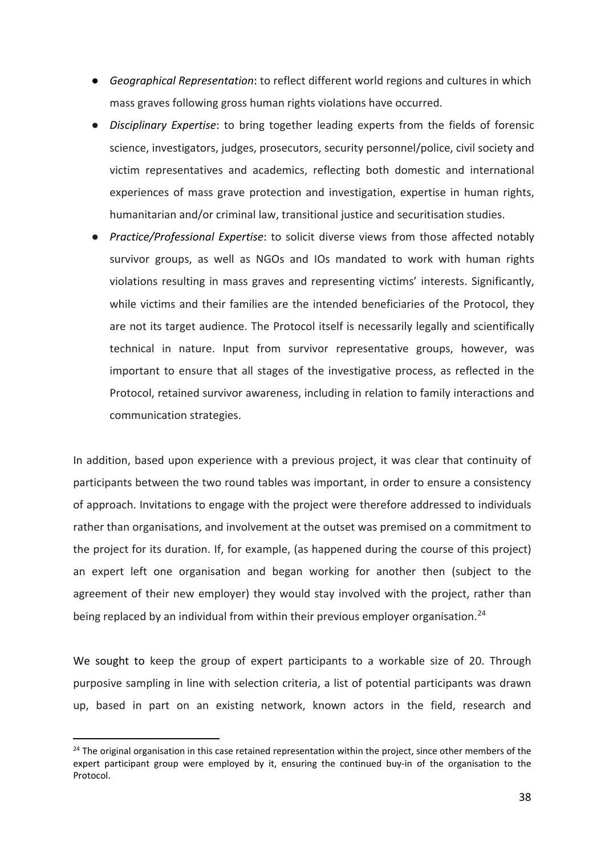- *Geographical Representation*: to reflect different world regions and cultures in which mass graves following gross human rights violations have occurred.
- **Disciplinary Expertise:** to bring together leading experts from the fields of forensic science, investigators, judges, prosecutors, security personnel/police, civil society and victim representatives and academics, reflecting both domestic and international experiences of mass grave protection and investigation, expertise in human rights, humanitarian and/or criminal law, transitional justice and securitisation studies.
- *Practice/Professional Expertise*: to solicit diverse views from those affected notably survivor groups, as well as NGOs and IOs mandated to work with human rights violations resulting in mass graves and representing victims' interests. Significantly, while victims and their families are the intended beneficiaries of the Protocol, they are not its target audience. The Protocol itself is necessarily legally and scientifically technical in nature. Input from survivor representative groups, however, was important to ensure that all stages of the investigative process, as reflected in the Protocol, retained survivor awareness, including in relation to family interactions and communication strategies.

In addition, based upon experience with a previous project, it was clear that continuity of participants between the two round tables was important, in order to ensure a consistency of approach. Invitations to engage with the project were therefore addressed to individuals rather than organisations, and involvement at the outset was premised on a commitment to the project for its duration. If, for example, (as happened during the course of this project) an expert left one organisation and began working for another then (subject to the agreement of their new employer) they would stay involved with the project, rather than being replaced by an individual from within their previous employer organisation.<sup>[24](#page-12-0)</sup>

We sought to keep the group of expert participants to a workable size of 20. Through purposive sampling in line with selection criteria, a list of potential participants was drawn up, based in part on an existing network, known actors in the field, research and

<span id="page-12-0"></span> $24$  The original organisation in this case retained representation within the project, since other members of the expert participant group were employed by it, ensuring the continued buy-in of the organisation to the Protocol.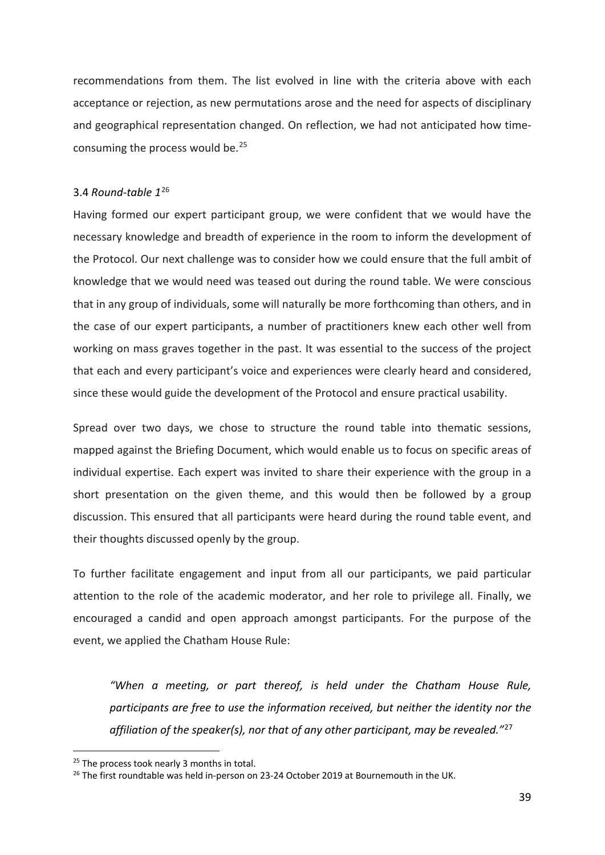recommendations from them. The list evolved in line with the criteria above with each acceptance or rejection, as new permutations arose and the need for aspects of disciplinary and geographical representation changed. On reflection, we had not anticipated how timeconsuming the process would be.[25](#page-13-0)

# 3.4 *Round-table 1*[26](#page-13-1)

Having formed our expert participant group, we were confident that we would have the necessary knowledge and breadth of experience in the room to inform the development of the Protocol. Our next challenge was to consider how we could ensure that the full ambit of knowledge that we would need was teased out during the round table. We were conscious that in any group of individuals, some will naturally be more forthcoming than others, and in the case of our expert participants, a number of practitioners knew each other well from working on mass graves together in the past. It was essential to the success of the project that each and every participant's voice and experiences were clearly heard and considered, since these would guide the development of the Protocol and ensure practical usability.

Spread over two days, we chose to structure the round table into thematic sessions, mapped against the Briefing Document, which would enable us to focus on specific areas of individual expertise. Each expert was invited to share their experience with the group in a short presentation on the given theme, and this would then be followed by a group discussion. This ensured that all participants were heard during the round table event, and their thoughts discussed openly by the group.

To further facilitate engagement and input from all our participants, we paid particular attention to the role of the academic moderator, and her role to privilege all. Finally, we encouraged a candid and open approach amongst participants. For the purpose of the event, we applied the Chatham House Rule:

<span id="page-13-2"></span>*"When a meeting, or part thereof, is held under the Chatham House Rule, participants are free to use the information received, but neither the identity nor the affiliation of the speaker(s), nor that of any other participant, may be revealed."*[27](#page-13-2)

<span id="page-13-0"></span><sup>&</sup>lt;sup>25</sup> The process took nearly 3 months in total.

<span id="page-13-1"></span> $26$  The first roundtable was held in-person on 23-24 October 2019 at Bournemouth in the UK.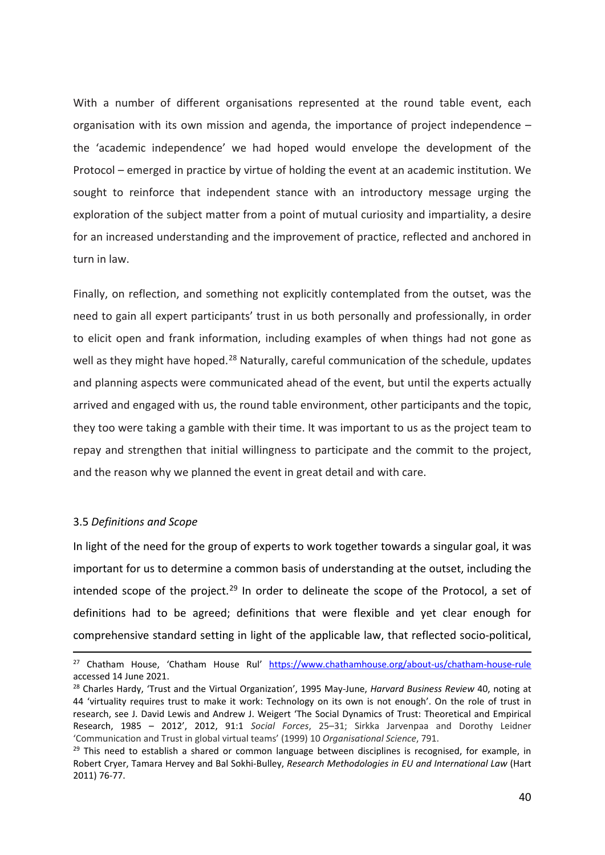With a number of different organisations represented at the round table event, each organisation with its own mission and agenda, the importance of project independence – the 'academic independence' we had hoped would envelope the development of the Protocol – emerged in practice by virtue of holding the event at an academic institution. We sought to reinforce that independent stance with an introductory message urging the exploration of the subject matter from a point of mutual curiosity and impartiality, a desire for an increased understanding and the improvement of practice, reflected and anchored in turn in law.

Finally, on reflection, and something not explicitly contemplated from the outset, was the need to gain all expert participants' trust in us both personally and professionally, in order to elicit open and frank information, including examples of when things had not gone as well as they might have hoped.<sup>[28](#page-14-0)</sup> Naturally, careful communication of the schedule, updates and planning aspects were communicated ahead of the event, but until the experts actually arrived and engaged with us, the round table environment, other participants and the topic, they too were taking a gamble with their time. It was important to us as the project team to repay and strengthen that initial willingness to participate and the commit to the project, and the reason why we planned the event in great detail and with care.

#### 3.5 *Definitions and Scope*

In light of the need for the group of experts to work together towards a singular goal, it was important for us to determine a common basis of understanding at the outset, including the intended scope of the project.<sup>[29](#page-14-1)</sup> In order to delineate the scope of the Protocol, a set of definitions had to be agreed; definitions that were flexible and yet clear enough for comprehensive standard setting in light of the applicable law, that reflected socio-political,

<sup>&</sup>lt;sup>27</sup> Chatham House, 'Chatham House Rul' <https://www.chathamhouse.org/about-us/chatham-house-rule> accessed 14 June 2021.

<span id="page-14-0"></span><sup>28</sup> Charles Hardy, 'Trust and the Virtual Organization', 1995 May-June, *Harvard Business Review* 40, noting at 44 'virtuality requires trust to make it work: Technology on its own is not enough'. On the role of trust in research, see J. David Lewis and Andrew J. Weigert 'The Social Dynamics of Trust: Theoretical and Empirical Research, 1985 – 2012', 2012, 91:1 *Social Forces*, 25–31; Sirkka Jarvenpaa and Dorothy Leidner 'Communication and Trust in global virtual teams' (1999) 10 *Organisational Science*, 791.

<span id="page-14-1"></span> $29$  This need to establish a shared or common language between disciplines is recognised, for example, in Robert Cryer, Tamara Hervey and Bal Sokhi-Bulley, *Research Methodologies in EU and International Law* (Hart 2011) 76-77.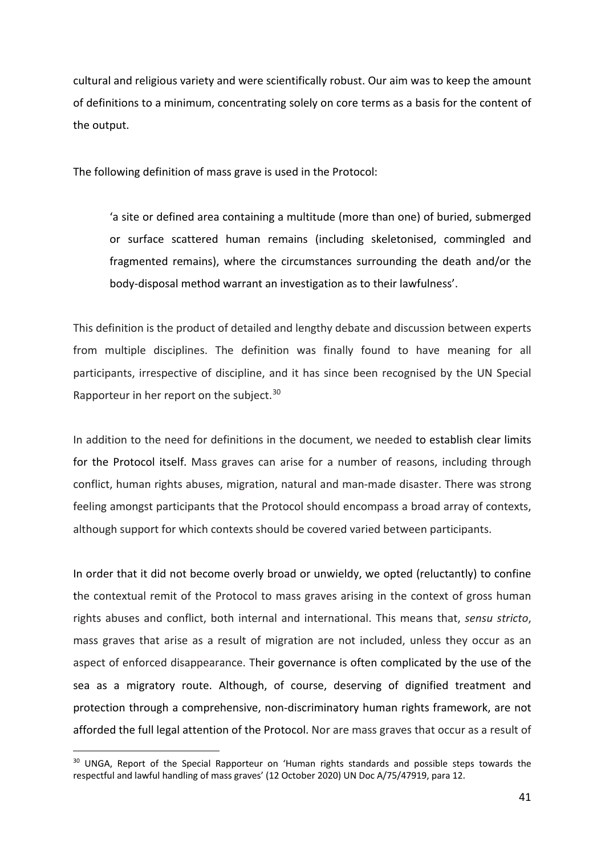cultural and religious variety and were scientifically robust. Our aim was to keep the amount of definitions to a minimum, concentrating solely on core terms as a basis for the content of the output.

The following definition of mass grave is used in the Protocol:

'a site or defined area containing a multitude (more than one) of buried, submerged or surface scattered human remains (including skeletonised, commingled and fragmented remains), where the circumstances surrounding the death and/or the body-disposal method warrant an investigation as to their lawfulness'.

This definition is the product of detailed and lengthy debate and discussion between experts from multiple disciplines. The definition was finally found to have meaning for all participants, irrespective of discipline, and it has since been recognised by the UN Special Rapporteur in her report on the subject.<sup>[30](#page-15-0)</sup>

In addition to the need for definitions in the document, we needed to establish clear limits for the Protocol itself. Mass graves can arise for a number of reasons, including through conflict, human rights abuses, migration, natural and man-made disaster. There was strong feeling amongst participants that the Protocol should encompass a broad array of contexts, although support for which contexts should be covered varied between participants.

In order that it did not become overly broad or unwieldy, we opted (reluctantly) to confine the contextual remit of the Protocol to mass graves arising in the context of gross human rights abuses and conflict, both internal and international. This means that, *sensu stricto*, mass graves that arise as a result of migration are not included, unless they occur as an aspect of enforced disappearance. Their governance is often complicated by the use of the sea as a migratory route. Although, of course, deserving of dignified treatment and protection through a comprehensive, non-discriminatory human rights framework, are not afforded the full legal attention of the Protocol. Nor are mass graves that occur as a result of

<span id="page-15-0"></span><sup>&</sup>lt;sup>30</sup> UNGA, Report of the Special Rapporteur on 'Human rights standards and possible steps towards the respectful and lawful handling of mass graves' (12 October 2020) UN Doc A/75/47919, para 12.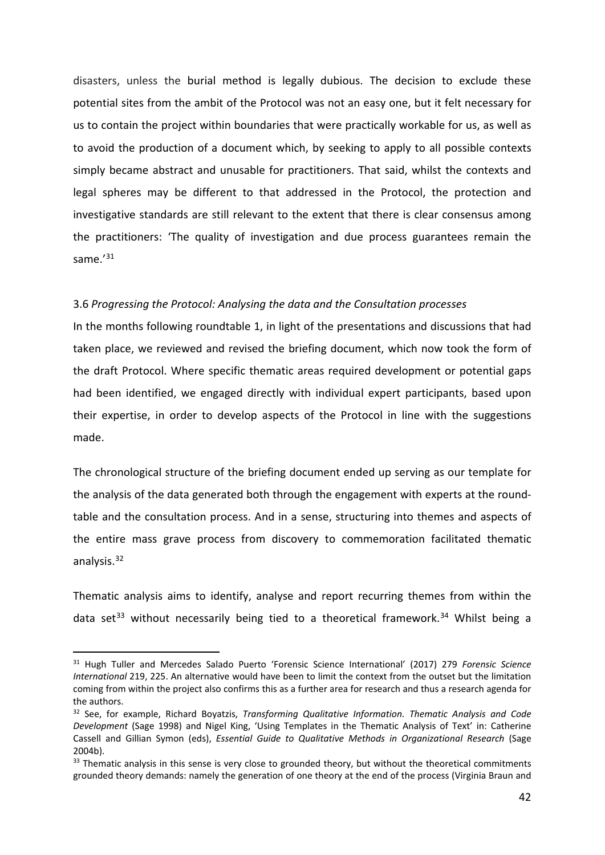disasters, unless the burial method is legally dubious. The decision to exclude these potential sites from the ambit of the Protocol was not an easy one, but it felt necessary for us to contain the project within boundaries that were practically workable for us, as well as to avoid the production of a document which, by seeking to apply to all possible contexts simply became abstract and unusable for practitioners. That said, whilst the contexts and legal spheres may be different to that addressed in the Protocol, the protection and investigative standards are still relevant to the extent that there is clear consensus among the practitioners: 'The quality of investigation and due process guarantees remain the same.'<sup>[31](#page-16-0)</sup>

# 3.6 *Progressing the Protocol: Analysing the data and the Consultation processes*

In the months following roundtable 1, in light of the presentations and discussions that had taken place, we reviewed and revised the briefing document, which now took the form of the draft Protocol. Where specific thematic areas required development or potential gaps had been identified, we engaged directly with individual expert participants, based upon their expertise, in order to develop aspects of the Protocol in line with the suggestions made.

The chronological structure of the briefing document ended up serving as our template for the analysis of the data generated both through the engagement with experts at the roundtable and the consultation process. And in a sense, structuring into themes and aspects of the entire mass grave process from discovery to commemoration facilitated thematic analysis. [32](#page-16-1)

Thematic analysis aims to identify, analyse and report recurring themes from within the data set<sup>[33](#page-16-2)</sup> without necessarily being tied to a theoretical framework.<sup>[34](#page-16-3)</sup> Whilst being a

<span id="page-16-0"></span><sup>31</sup> Hugh Tuller and Mercedes Salado Puerto 'Forensic Science International' (2017) 279 *Forensic Science International* 219, 225. An alternative would have been to limit the context from the outset but the limitation coming from within the project also confirms this as a further area for research and thus a research agenda for the authors.

<span id="page-16-3"></span><span id="page-16-1"></span><sup>32</sup> See, for example, Richard Boyatzis, *Transforming Qualitative Information. Thematic Analysis and Code Development* (Sage 1998) and Nigel King, 'Using Templates in the Thematic Analysis of Text' in: Catherine Cassell and Gillian Symon (eds), *Essential Guide to Qualitative Methods in Organizational Research* (Sage 2004b).

<span id="page-16-2"></span><sup>&</sup>lt;sup>33</sup> Thematic analysis in this sense is very close to grounded theory, but without the theoretical commitments grounded theory demands: namely the generation of one theory at the end of the process (Virginia Braun and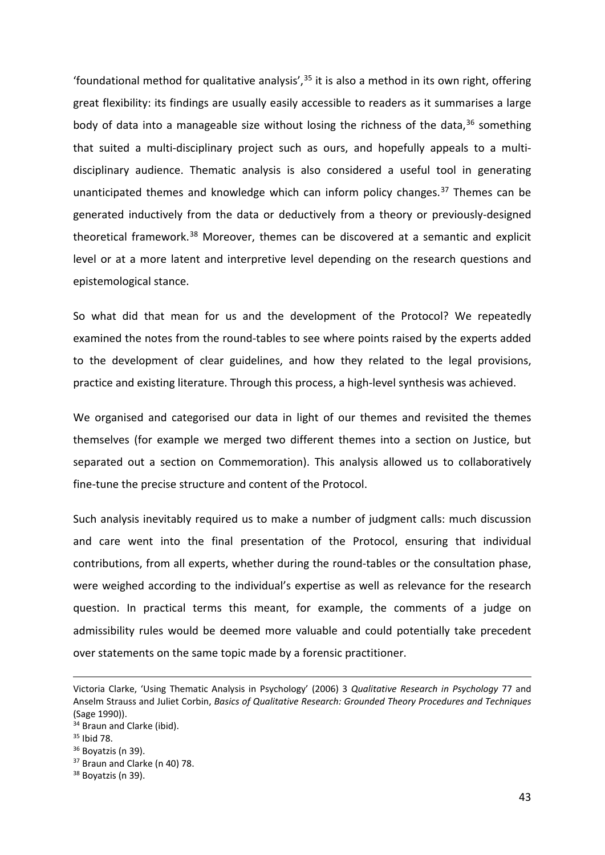'foundational method for qualitative analysis',  $35$  it is also a method in its own right, offering great flexibility: its findings are usually easily accessible to readers as it summarises a large body of data into a manageable size without losing the richness of the data,<sup>[36](#page-17-1)</sup> something that suited a multi-disciplinary project such as ours, and hopefully appeals to a multidisciplinary audience. Thematic analysis is also considered a useful tool in generating unanticipated themes and knowledge which can inform policy changes. $37$  Themes can be generated inductively from the data or deductively from a theory or previously-designed theoretical framework.<sup>[38](#page-17-3)</sup> Moreover, themes can be discovered at a semantic and explicit level or at a more latent and interpretive level depending on the research questions and epistemological stance.

So what did that mean for us and the development of the Protocol? We repeatedly examined the notes from the round-tables to see where points raised by the experts added to the development of clear guidelines, and how they related to the legal provisions, practice and existing literature. Through this process, a high-level synthesis was achieved.

We organised and categorised our data in light of our themes and revisited the themes themselves (for example we merged two different themes into a section on Justice, but separated out a section on Commemoration). This analysis allowed us to collaboratively fine-tune the precise structure and content of the Protocol.

Such analysis inevitably required us to make a number of judgment calls: much discussion and care went into the final presentation of the Protocol, ensuring that individual contributions, from all experts, whether during the round-tables or the consultation phase, were weighed according to the individual's expertise as well as relevance for the research question. In practical terms this meant, for example, the comments of a judge on admissibility rules would be deemed more valuable and could potentially take precedent over statements on the same topic made by a forensic practitioner.

Victoria Clarke, 'Using Thematic Analysis in Psychology' (2006) 3 *Qualitative Research in Psychology* 77 and Anselm Strauss and Juliet Corbin, *Basics of Qualitative Research: Grounded Theory Procedures and Techniques*  (Sage 1990)).

<sup>&</sup>lt;sup>34</sup> Braun and Clarke (ibid).

<span id="page-17-0"></span><sup>35</sup> Ibid 78.

<span id="page-17-1"></span> $36$  Boyatzis (n 39).

<span id="page-17-2"></span><sup>&</sup>lt;sup>37</sup> Braun and Clarke (n 40) 78.

<span id="page-17-3"></span><sup>38</sup> Boyatzis (n 39).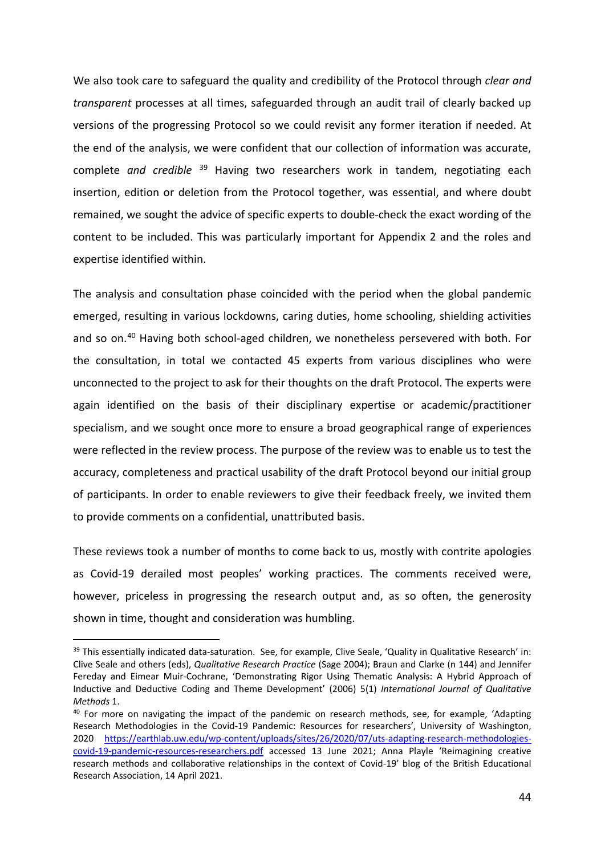We also took care to safeguard the quality and credibility of the Protocol through *clear and transparent* processes at all times, safeguarded through an audit trail of clearly backed up versions of the progressing Protocol so we could revisit any former iteration if needed. At the end of the analysis, we were confident that our collection of information was accurate, complete *and credible* [39](#page-18-0) Having two researchers work in tandem, negotiating each insertion, edition or deletion from the Protocol together, was essential, and where doubt remained, we sought the advice of specific experts to double-check the exact wording of the content to be included. This was particularly important for Appendix 2 and the roles and expertise identified within.

The analysis and consultation phase coincided with the period when the global pandemic emerged, resulting in various lockdowns, caring duties, home schooling, shielding activities and so on.<sup>[40](#page-18-1)</sup> Having both school-aged children, we nonetheless persevered with both. For the consultation, in total we contacted 45 experts from various disciplines who were unconnected to the project to ask for their thoughts on the draft Protocol. The experts were again identified on the basis of their disciplinary expertise or academic/practitioner specialism, and we sought once more to ensure a broad geographical range of experiences were reflected in the review process. The purpose of the review was to enable us to test the accuracy, completeness and practical usability of the draft Protocol beyond our initial group of participants. In order to enable reviewers to give their feedback freely, we invited them to provide comments on a confidential, unattributed basis.

These reviews took a number of months to come back to us, mostly with contrite apologies as Covid-19 derailed most peoples' working practices. The comments received were, however, priceless in progressing the research output and, as so often, the generosity shown in time, thought and consideration was humbling.

<span id="page-18-0"></span><sup>39</sup> This essentially indicated data-saturation. See, for example, Clive Seale, 'Quality in Qualitative Research' in: Clive Seale and others (eds), *Qualitative Research Practice* (Sage 2004); Braun and Clarke (n 144) and Jennifer Fereday and Eimear Muir-Cochrane, 'Demonstrating Rigor Using Thematic Analysis: A Hybrid Approach of Inductive and Deductive Coding and Theme Development' (2006) 5(1) *International Journal of Qualitative Methods* 1.

<span id="page-18-1"></span><sup>&</sup>lt;sup>40</sup> For more on navigating the impact of the pandemic on research methods, see, for example, 'Adapting Research Methodologies in the Covid-19 Pandemic: Resources for researchers', University of Washington, 2020 [https://earthlab.uw.edu/wp-content/uploads/sites/26/2020/07/uts-adapting-research-methodologies](https://earthlab.uw.edu/wp-content/uploads/sites/26/2020/07/uts-adapting-research-methodologies-covid-19-pandemic-resources-researchers.pdf)[covid-19-pandemic-resources-researchers.pdf](https://earthlab.uw.edu/wp-content/uploads/sites/26/2020/07/uts-adapting-research-methodologies-covid-19-pandemic-resources-researchers.pdf) accessed 13 June 2021; Anna Playle 'Reimagining creative research methods and collaborative relationships in the context of Covid-19' blog of the British Educational Research Association, 14 April 2021.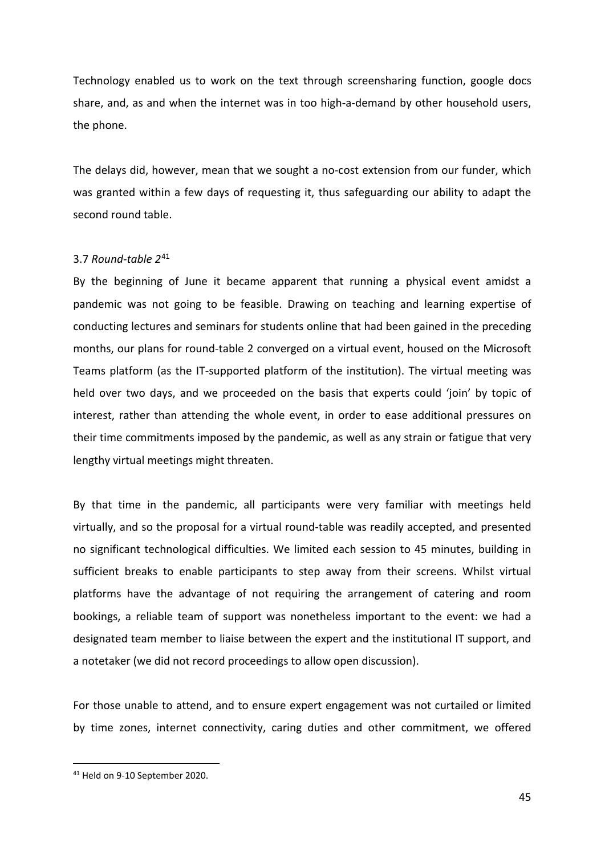Technology enabled us to work on the text through screensharing function, google docs share, and, as and when the internet was in too high-a-demand by other household users, the phone.

The delays did, however, mean that we sought a no-cost extension from our funder, which was granted within a few days of requesting it, thus safeguarding our ability to adapt the second round table.

# 3.7 *Round-table 2*[41](#page-19-0)

By the beginning of June it became apparent that running a physical event amidst a pandemic was not going to be feasible. Drawing on teaching and learning expertise of conducting lectures and seminars for students online that had been gained in the preceding months, our plans for round-table 2 converged on a virtual event, housed on the Microsoft Teams platform (as the IT-supported platform of the institution). The virtual meeting was held over two days, and we proceeded on the basis that experts could 'join' by topic of interest, rather than attending the whole event, in order to ease additional pressures on their time commitments imposed by the pandemic, as well as any strain or fatigue that very lengthy virtual meetings might threaten.

By that time in the pandemic, all participants were very familiar with meetings held virtually, and so the proposal for a virtual round-table was readily accepted, and presented no significant technological difficulties. We limited each session to 45 minutes, building in sufficient breaks to enable participants to step away from their screens. Whilst virtual platforms have the advantage of not requiring the arrangement of catering and room bookings, a reliable team of support was nonetheless important to the event: we had a designated team member to liaise between the expert and the institutional IT support, and a notetaker (we did not record proceedings to allow open discussion).

For those unable to attend, and to ensure expert engagement was not curtailed or limited by time zones, internet connectivity, caring duties and other commitment, we offered

<span id="page-19-0"></span><sup>41</sup> Held on 9-10 September 2020.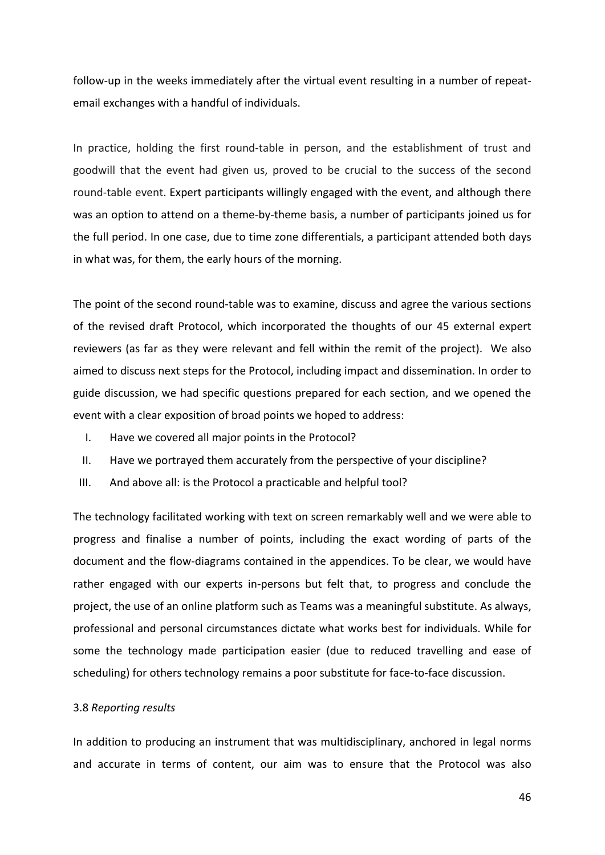follow-up in the weeks immediately after the virtual event resulting in a number of repeatemail exchanges with a handful of individuals.

In practice, holding the first round-table in person, and the establishment of trust and goodwill that the event had given us, proved to be crucial to the success of the second round-table event. Expert participants willingly engaged with the event, and although there was an option to attend on a theme-by-theme basis, a number of participants joined us for the full period. In one case, due to time zone differentials, a participant attended both days in what was, for them, the early hours of the morning.

The point of the second round-table was to examine, discuss and agree the various sections of the revised draft Protocol, which incorporated the thoughts of our 45 external expert reviewers (as far as they were relevant and fell within the remit of the project). We also aimed to discuss next steps for the Protocol, including impact and dissemination. In order to guide discussion, we had specific questions prepared for each section, and we opened the event with a clear exposition of broad points we hoped to address:

- I. Have we covered all major points in the Protocol?
- II. Have we portrayed them accurately from the perspective of your discipline?
- III. And above all: is the Protocol a practicable and helpful tool?

The technology facilitated working with text on screen remarkably well and we were able to progress and finalise a number of points, including the exact wording of parts of the document and the flow-diagrams contained in the appendices. To be clear, we would have rather engaged with our experts in-persons but felt that, to progress and conclude the project, the use of an online platform such as Teams was a meaningful substitute. As always, professional and personal circumstances dictate what works best for individuals. While for some the technology made participation easier (due to reduced travelling and ease of scheduling) for others technology remains a poor substitute for face-to-face discussion.

#### 3.8 *Reporting results*

In addition to producing an instrument that was multidisciplinary, anchored in legal norms and accurate in terms of content, our aim was to ensure that the Protocol was also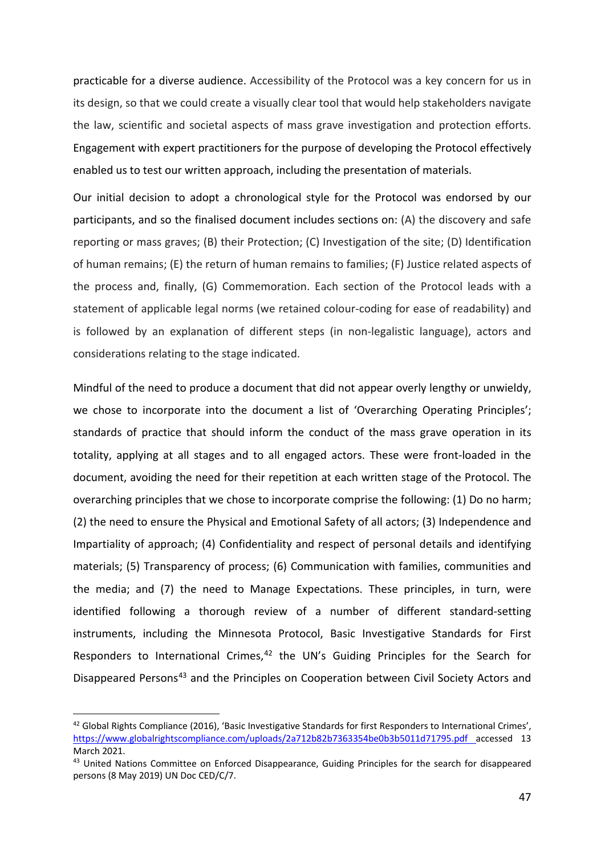practicable for a diverse audience. Accessibility of the Protocol was a key concern for us in its design, so that we could create a visually clear tool that would help stakeholders navigate the law, scientific and societal aspects of mass grave investigation and protection efforts. Engagement with expert practitioners for the purpose of developing the Protocol effectively enabled us to test our written approach, including the presentation of materials.

Our initial decision to adopt a chronological style for the Protocol was endorsed by our participants, and so the finalised document includes sections on: (A) the discovery and safe reporting or mass graves; (B) their Protection; (C) Investigation of the site; (D) Identification of human remains; (E) the return of human remains to families; (F) Justice related aspects of the process and, finally, (G) Commemoration. Each section of the Protocol leads with a statement of applicable legal norms (we retained colour-coding for ease of readability) and is followed by an explanation of different steps (in non-legalistic language), actors and considerations relating to the stage indicated.

Mindful of the need to produce a document that did not appear overly lengthy or unwieldy, we chose to incorporate into the document a list of 'Overarching Operating Principles'; standards of practice that should inform the conduct of the mass grave operation in its totality, applying at all stages and to all engaged actors. These were front-loaded in the document, avoiding the need for their repetition at each written stage of the Protocol. The overarching principles that we chose to incorporate comprise the following: (1) Do no harm; (2) the need to ensure the Physical and Emotional Safety of all actors; (3) Independence and Impartiality of approach; (4) Confidentiality and respect of personal details and identifying materials; (5) Transparency of process; (6) Communication with families, communities and the media; and (7) the need to Manage Expectations. These principles, in turn, were identified following a thorough review of a number of different standard-setting instruments, including the Minnesota Protocol, Basic Investigative Standards for First Responders to International Crimes,<sup>[42](#page-21-0)</sup> the UN's Guiding Principles for the Search for Disappeared Persons<sup>[43](#page-21-1)</sup> and the Principles on Cooperation between Civil Society Actors and

<span id="page-21-0"></span><sup>&</sup>lt;sup>42</sup> Global Rights Compliance (2016), 'Basic Investigative Standards for first Responders to International Crimes', <https://www.globalrightscompliance.com/uploads/2a712b82b7363354be0b3b5011d71795.pdf> accessed 13 March 2021.

<span id="page-21-1"></span><sup>43</sup> United Nations Committee on Enforced Disappearance, Guiding Principles for the search for disappeared persons (8 May 2019) UN Doc CED/C/7.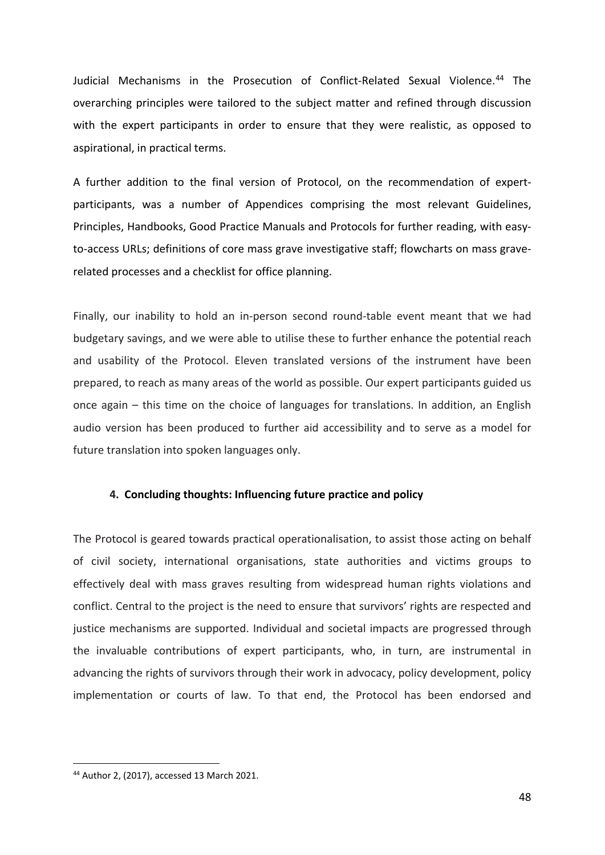Judicial Mechanisms in the Prosecution of Conflict-Related Sexual Violence.<sup>[44](#page-22-0)</sup> The overarching principles were tailored to the subject matter and refined through discussion with the expert participants in order to ensure that they were realistic, as opposed to aspirational, in practical terms.

A further addition to the final version of Protocol, on the recommendation of expertparticipants, was a number of Appendices comprising the most relevant Guidelines, Principles, Handbooks, Good Practice Manuals and Protocols for further reading, with easyto-access URLs; definitions of core mass grave investigative staff; flowcharts on mass graverelated processes and a checklist for office planning.

Finally, our inability to hold an in-person second round-table event meant that we had budgetary savings, and we were able to utilise these to further enhance the potential reach and usability of the Protocol. Eleven translated versions of the instrument have been prepared, to reach as many areas of the world as possible. Our expert participants guided us once again – this time on the choice of languages for translations. In addition, an English audio version has been produced to further aid accessibility and to serve as a model for future translation into spoken languages only.

# **4. Concluding thoughts: Influencing future practice and policy**

The Protocol is geared towards practical operationalisation, to assist those acting on behalf of civil society, international organisations, state authorities and victims groups to effectively deal with mass graves resulting from widespread human rights violations and conflict. Central to the project is the need to ensure that survivors' rights are respected and justice mechanisms are supported. Individual and societal impacts are progressed through the invaluable contributions of expert participants, who, in turn, are instrumental in advancing the rights of survivors through their work in advocacy, policy development, policy implementation or courts of law. To that end, the Protocol has been endorsed and

<span id="page-22-0"></span><sup>44</sup> Author 2, (2017), accessed 13 March 2021.